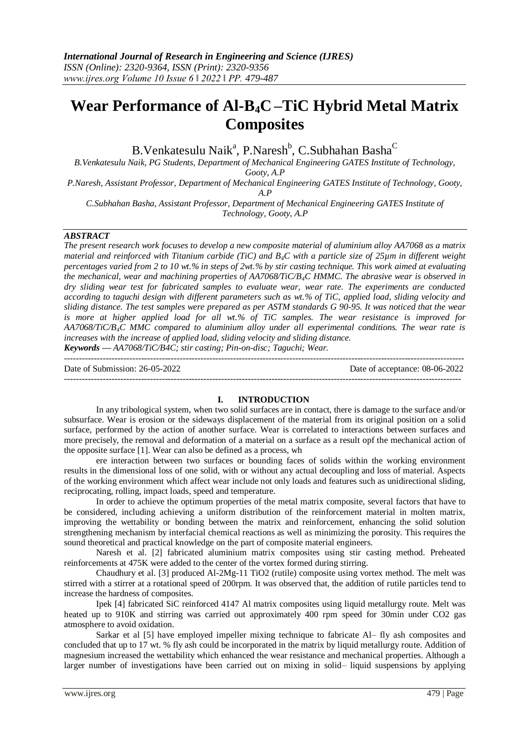# **Wear Performance of Al-B4C –TiC Hybrid Metal Matrix Composites**

B.Venkatesulu Naik $\rm{^a, \,P. Naresh}^b, \,C. Subhahan \,Basha^C$ 

*B.Venkatesulu Naik, PG Students, Department of Mechanical Engineering GATES Institute of Technology, Gooty, A.P*

*P.Naresh, Assistant Professor, Department of Mechanical Engineering GATES Institute of Technology, Gooty, A.P*

*C.Subhahan Basha, Assistant Professor, Department of Mechanical Engineering GATES Institute of Technology, Gooty, A.P*

## *ABSTRACT*

*The present research work focuses to develop a new composite material of aluminium alloy AA7068 as a matrix material and reinforced with Titanium carbide (TiC) and B4C with a particle size of 25µm in different weight percentages varied from 2 to 10 wt.% in steps of 2wt.% by stir casting technique. This work aimed at evaluating the mechanical, wear and machining properties of AA7068/TiC/B4C HMMC. The abrasive wear is observed in dry sliding wear test for fabricated samples to evaluate wear, wear rate. The experiments are conducted according to taguchi design with different parameters such as wt.% of TiC, applied load, sliding velocity and sliding distance. The test samples were prepared as per ASTM standards G 90-95. It was noticed that the wear is more at higher applied load for all wt.% of TiC samples. The wear resistance is improved for AA7068/TiC/B4C MMC compared to aluminium alloy under all experimental conditions. The wear rate is increases with the increase of applied load, sliding velocity and sliding distance.*

*Keywords — AA7068/TiC/B4C; stir casting; Pin-on-disc; Taguchi; Wear.* ---------------------------------------------------------------------------------------------------------------------------------------

Date of Submission: 26-05-2022 Date of acceptance: 08-06-2022 --------------------------------------------------------------------------------------------------------------------------------------

#### **I. INTRODUCTION**

In any tribological system, when two solid surfaces are in contact, there is damage to the surface and/or subsurface. Wear is erosion or the sideways displacement of the material from its original position on a solid surface, performed by the action of another surface. Wear is correlated to interactions between surfaces and more precisely, the removal and deformation of a material on a surface as a result opf the mechanical action of the opposite surface [1]. Wear can also be defined as a process, wh

ere interaction between two surfaces or bounding faces of solids within the working environment results in the dimensional loss of one solid, with or without any actual decoupling and loss of material. Aspects of the working environment which affect wear include not only loads and features such as unidirectional sliding, reciprocating, rolling, impact loads, speed and temperature.

In order to achieve the optimum properties of the metal matrix composite, several factors that have to be considered, including achieving a uniform distribution of the reinforcement material in molten matrix, improving the wettability or bonding between the matrix and reinforcement, enhancing the solid solution strengthening mechanism by interfacial chemical reactions as well as minimizing the porosity. This requires the sound theoretical and practical knowledge on the part of composite material engineers.

Naresh et al. [2] fabricated aluminium matrix composites using stir casting method. Preheated reinforcements at 475K were added to the center of the vortex formed during stirring.

Chaudhury et al. [3] produced Al-2Mg-11 TiO2 (rutile) composite using vortex method. The melt was stirred with a stirrer at a rotational speed of 200rpm. It was observed that, the addition of rutile particles tend to increase the hardness of composites.

Ipek [4] fabricated SiC reinforced 4147 Al matrix composites using liquid metallurgy route. Melt was heated up to 910K and stirring was carried out approximately 400 rpm speed for 30min under CO2 gas atmosphere to avoid oxidation.

Sarkar et al [5] have employed impeller mixing technique to fabricate Al– fly ash composites and concluded that up to 17 wt. % fly ash could be incorporated in the matrix by liquid metallurgy route. Addition of magnesium increased the wettability which enhanced the wear resistance and mechanical properties. Although a larger number of investigations have been carried out on mixing in solid– liquid suspensions by applying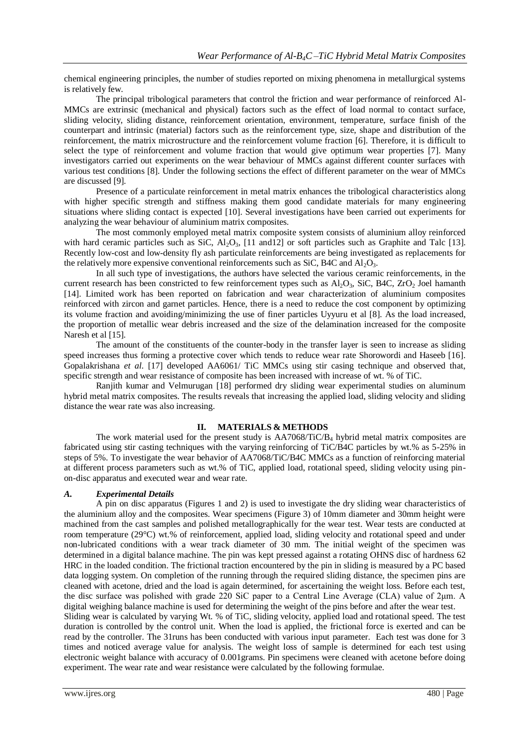chemical engineering principles, the number of studies reported on mixing phenomena in metallurgical systems is relatively few.

The principal tribological parameters that control the friction and wear performance of reinforced Al-MMCs are extrinsic (mechanical and physical) factors such as the effect of load normal to contact surface, sliding velocity, sliding distance, reinforcement orientation, environment, temperature, surface finish of the counterpart and intrinsic (material) factors such as the reinforcement type, size, shape and distribution of the reinforcement, the matrix microstructure and the reinforcement volume fraction [6]. Therefore, it is difficult to select the type of reinforcement and volume fraction that would give optimum wear properties [7]. Many investigators carried out experiments on the wear behaviour of MMCs against different counter surfaces with various test conditions [8]. Under the following sections the effect of different parameter on the wear of MMCs are discussed [9].

Presence of a particulate reinforcement in metal matrix enhances the tribological characteristics along with higher specific strength and stiffness making them good candidate materials for many engineering situations where sliding contact is expected [10]. Several investigations have been carried out experiments for analyzing the wear behaviour of aluminium matrix composites.

The most commonly employed metal matrix composite system consists of aluminium alloy reinforced with hard ceramic particles such as SiC,  $Al_2O_3$ , [11 and 12] or soft particles such as Graphite and Talc [13]. Recently low-cost and low-density fly ash particulate reinforcements are being investigated as replacements for the relatively more expensive conventional reinforcements such as SiC, B4C and  $Al_2O_3$ .

In all such type of investigations, the authors have selected the various ceramic reinforcements, in the current research has been constricted to few reinforcement types such as  $Al_2O_3$ , SiC, B4C, ZrO<sub>2</sub> Joel hamanth [14]. Limited work has been reported on fabrication and wear characterization of aluminium composites reinforced with zircon and garnet particles. Hence, there is a need to reduce the cost component by optimizing its volume fraction and avoiding/minimizing the use of finer particles Uyyuru et al [8]. As the load increased, the proportion of metallic wear debris increased and the size of the delamination increased for the composite Naresh et al [15].

The amount of the constituents of the counter-body in the transfer layer is seen to increase as sliding speed increases thus forming a protective cover which tends to reduce wear rate Shorowordi and Haseeb [16]. Gopalakrishana *et al*. [17] developed AA6061/ TiC MMCs using stir casing technique and observed that, specific strength and wear resistance of composite has been increased with increase of wt. % of TiC.

Ranjith kumar and Velmurugan [18] performed dry sliding wear experimental studies on aluminum hybrid metal matrix composites. The results reveals that increasing the applied load, sliding velocity and sliding distance the wear rate was also increasing.

## **II. MATERIALS & METHODS**

The work material used for the present study is  $AA7068/TiC/B<sub>4</sub>$  hybrid metal matrix composites are fabricated using stir casting techniques with the varying reinforcing of TiC/B4C particles by wt.% as 5-25% in steps of 5%. To investigate the wear behavior of AA7068/TiC/B4C MMCs as a function of reinforcing material at different process parameters such as wt.% of TiC, applied load, rotational speed, sliding velocity using pinon-disc apparatus and executed wear and wear rate.

## *A. Experimental Details*

A pin on disc apparatus (Figures 1 and 2) is used to investigate the dry sliding wear characteristics of the aluminium alloy and the composites. Wear specimens (Figure 3) of 10mm diameter and 30mm height were machined from the cast samples and polished metallographically for the wear test. Wear tests are conducted at room temperature (29°C) wt.% of reinforcement, applied load, sliding velocity and rotational speed and under non-lubricated conditions with a wear track diameter of 30 mm. The initial weight of the specimen was determined in a digital balance machine. The pin was kept pressed against a rotating OHNS disc of hardness 62 HRC in the loaded condition. The frictional traction encountered by the pin in sliding is measured by a PC based data logging system. On completion of the running through the required sliding distance, the specimen pins are cleaned with acetone, dried and the load is again determined, for ascertaining the weight loss. Before each test, the disc surface was polished with grade 220 SiC paper to a Central Line Average (CLA) value of 2μm. A digital weighing balance machine is used for determining the weight of the pins before and after the wear test. Sliding wear is calculated by varying Wt. % of TiC, sliding velocity, applied load and rotational speed. The test

duration is controlled by the control unit. When the load is applied, the frictional force is exerted and can be read by the controller. The 31runs has been conducted with various input parameter. Each test was done for 3 times and noticed average value for analysis. The weight loss of sample is determined for each test using electronic weight balance with accuracy of 0.001grams. Pin specimens were cleaned with acetone before doing experiment. The wear rate and wear resistance were calculated by the following formulae.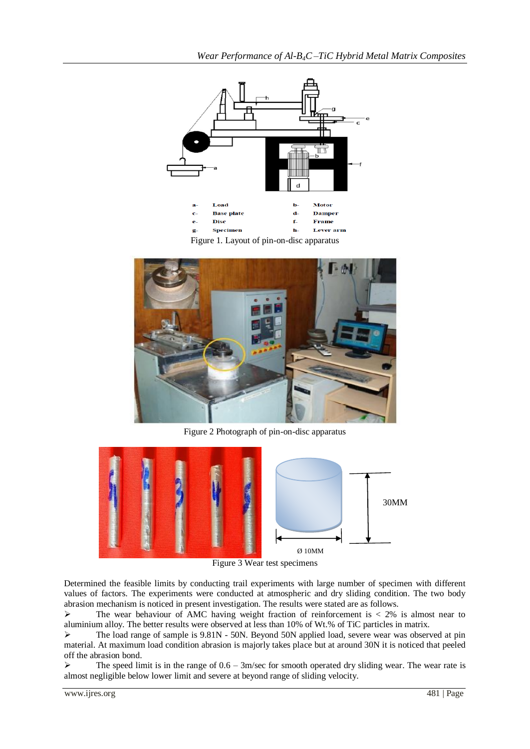

Figure 1. Layout of pin-on-disc apparatus



Figure 2 Photograph of pin-on-disc apparatus



Figure 3 Wear test specimens

Determined the feasible limits by conducting trail experiments with large number of specimen with different values of factors. The experiments were conducted at atmospheric and dry sliding condition. The two body abrasion mechanism is noticed in present investigation. The results were stated are as follows.

 $\triangleright$  The wear behaviour of AMC having weight fraction of reinforcement is  $\lt 2\%$  is almost near to aluminium alloy. The better results were observed at less than 10% of Wt.% of TiC particles in matrix.

 The load range of sample is 9.81N - 50N. Beyond 50N applied load, severe wear was observed at pin material. At maximum load condition abrasion is majorly takes place but at around 30N it is noticed that peeled off the abrasion bond.

 $\triangleright$  The speed limit is in the range of 0.6 – 3m/sec for smooth operated dry sliding wear. The wear rate is almost negligible below lower limit and severe at beyond range of sliding velocity.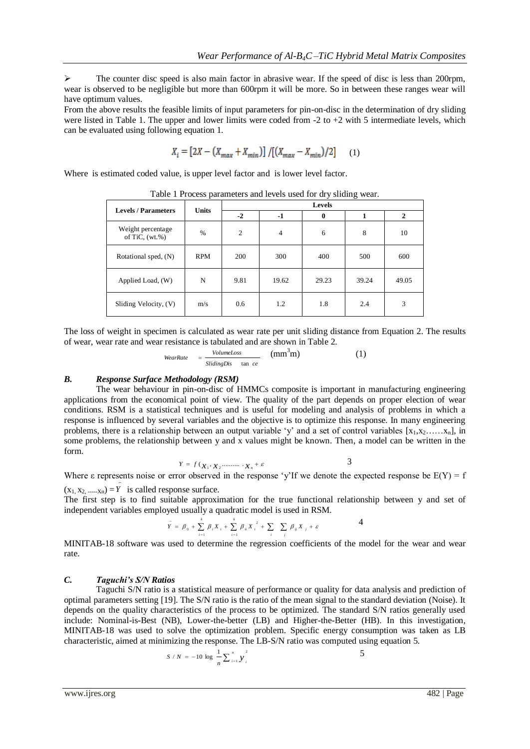$\triangleright$  The counter disc speed is also main factor in abrasive wear. If the speed of disc is less than 200rpm, wear is observed to be negligible but more than 600rpm it will be more. So in between these ranges wear will have optimum values.

From the above results the feasible limits of input parameters for pin-on-disc in the determination of dry sliding were listed in Table 1. The upper and lower limits were coded from -2 to +2 with 5 intermediate levels, which can be evaluated using following equation 1.

$$
X_i = [2X - (X_{max} + X_{min})] / [(X_{max} - X_{min})/2]
$$
 (1)

Where is estimated coded value, is upper level factor and is lower level factor.

|                                        |              | $\overline{ }$<br>$\circ$<br><b>Levels</b> |                |       |       |       |  |
|----------------------------------------|--------------|--------------------------------------------|----------------|-------|-------|-------|--|
| <b>Levels / Parameters</b>             | <b>Units</b> | $-2$                                       | $-1$           | 0     |       | 2     |  |
| Weight percentage<br>of TiC, $(wt.\%)$ | %            | $\overline{2}$                             | $\overline{4}$ | 6     | 8     | 10    |  |
| Rotational sped, (N)                   | <b>RPM</b>   | 200                                        | 300            | 400   | 500   | 600   |  |
| Applied Load, (W)                      | N            | 9.81                                       | 19.62          | 29.23 | 39.24 | 49.05 |  |
| Sliding Velocity, (V)                  | m/s          | 0.6                                        | 1.2            | 1.8   | 2.4   | 3     |  |

Table 1 Process parameters and levels used for dry sliding wear.

The loss of weight in specimen is calculated as wear rate per unit sliding distance from Equation 2. The results of wear, wear rate and wear resistance is tabulated and are shown in Table 2.

$$
We arRate = \frac{VolumeLoss}{Stiding Dis - tan ce} \quad (mm^3m)
$$
 (1)

## *B. Response Surface Methodology (RSM)*

The wear behaviour in pin-on-disc of HMMCs composite is important in manufacturing engineering applications from the economical point of view. The quality of the part depends on proper election of wear conditions. RSM is a statistical techniques and is useful for modeling and analysis of problems in which a response is influenced by several variables and the objective is to optimize this response. In many engineering problems, there is a relationship between an output variable 'y' and a set of control variables  $[x_1, x_2, \ldots, x_n]$ , in some problems, the relationship between y and x values might be known. Then, a model can be written in the form.

$$
Y = f(\chi_1, \chi_2 \dots \dots \dots \chi_n + \varepsilon)
$$
 3

Where  $\varepsilon$  represents noise or error observed in the response 'y'If we denote the expected response be  $E(Y) = f$ 

 $(x_1, x_2, \dots, x_n) = Y$  is called response surface.

The first step is to find suitable approximation for the true functional relationship between y and set of independent variables employed usually a quadratic model is used in RSM.

$$
\hat{Y} = \beta_0 + \sum_{i=1}^{k} \beta_i X_i + \sum_{i=1}^{k} \beta_i X_i^2 + \sum_{i} \sum_{j} \beta_{ij} X_j + \varepsilon
$$
 4

MINITAB-18 software was used to determine the regression coefficients of the model for the wear and wear rate.

## *C. Taguchi's S/N Ratios*

Taguchi S/N ratio is a statistical measure of performance or quality for data analysis and prediction of optimal parameters setting [19]. The S/N ratio is the ratio of the mean signal to the standard deviation (Noise). It depends on the quality characteristics of the process to be optimized. The standard S/N ratios generally used include: Nominal-is-Best (NB), Lower-the-better (LB) and Higher-the-Better (HB). In this investigation, MINITAB-18 was used to solve the optimization problem. Specific energy consumption was taken as LB characteristic, aimed at minimizing the response. The LB-S/N ratio was computed using equation 5.

$$
S / N = -10 \log \frac{1}{n} \sum_{i=1}^{n} y_i^2
$$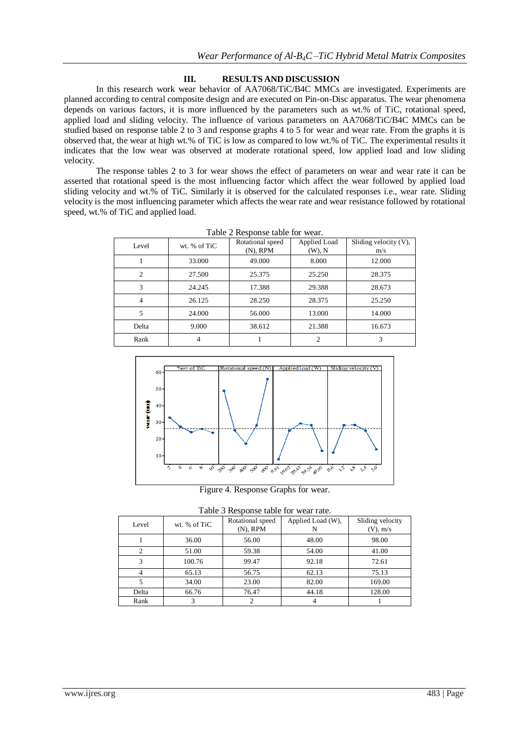## **III. RESULTS AND DISCUSSION**

In this research work wear behavior of AA7068/TiC/B4C MMCs are investigated. Experiments are planned according to central composite design and are executed on Pin-on-Disc apparatus. The wear phenomena depends on various factors, it is more influenced by the parameters such as wt.% of TiC, rotational speed, applied load and sliding velocity. The influence of various parameters on AA7068/TiC/B4C MMCs can be studied based on response table 2 to 3 and response graphs 4 to 5 for wear and wear rate. From the graphs it is observed that, the wear at high wt.% of TiC is low as compared to low wt.% of TiC. The experimental results it indicates that the low wear was observed at moderate rotational speed, low applied load and low sliding velocity.

The response tables 2 to 3 for wear shows the effect of parameters on wear and wear rate it can be asserted that rotational speed is the most influencing factor which affect the wear followed by applied load sliding velocity and wt.% of TiC. Similarly it is observed for the calculated responses i.e., wear rate. Sliding velocity is the most influencing parameter which affects the wear rate and wear resistance followed by rotational speed, wt.% of TiC and applied load.

| Level | wt. % of TiC | Rotational speed<br>$(N)$ , RPM | Applied Load<br>$(W)$ , N | Sliding velocity (V),<br>m/s |
|-------|--------------|---------------------------------|---------------------------|------------------------------|
|       | 33,000       | 49.000                          | 8.000                     | 12.000                       |
| 2     | 27.500       | 25.375                          | 25.250                    | 28.375                       |
| 3     | 24.245       | 17.388                          | 29.388                    | 28.673                       |
| 4     | 26.125       | 28.250                          | 28.375                    | 25.250                       |
| 5     | 24.000       | 56.000                          | 13.000                    | 14.000                       |
| Delta | 9.000        | 38.612                          | 21.388                    | 16.673                       |
| Rank  |              |                                 |                           | 3                            |

Table 2 Response table for wear.



Figure 4. Response Graphs for wear.

| Table 3 Response table for wear rate. |  |  |  |  |  |
|---------------------------------------|--|--|--|--|--|
|---------------------------------------|--|--|--|--|--|

| Level | wt. % of TiC | Rotational speed<br>$(N)$ , RPM | Applied Load (W),<br>N | Sliding velocity<br>$(V)$ , m/s |
|-------|--------------|---------------------------------|------------------------|---------------------------------|
|       | 36.00        | 56.00                           | 48.00                  | 98.00                           |
| っ     | 51.00        | 59.38                           | 54.00                  | 41.00                           |
| 3     | 100.76       | 99.47                           | 92.18                  | 72.61                           |
|       | 65.13        | 56.75                           | 62.13                  | 75.13                           |
|       | 34.00        | 23.00                           | 82.00                  | 169.00                          |
| Delta | 66.76        | 76.47                           | 44.18                  | 128.00                          |
| Rank  | 3            |                                 |                        |                                 |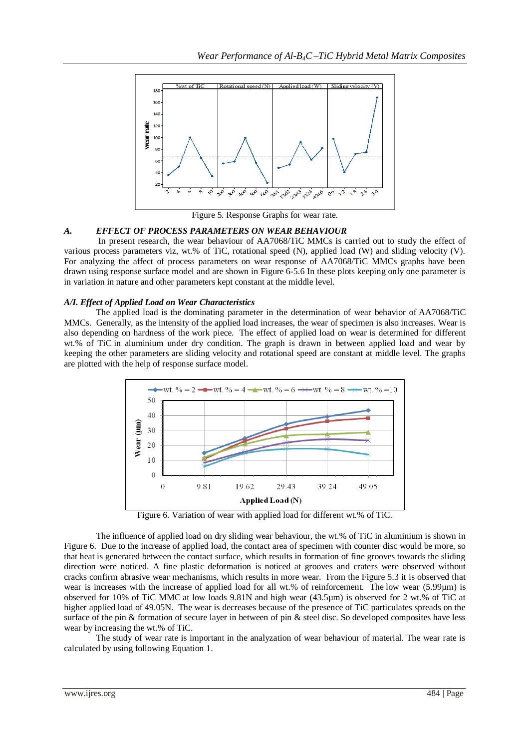

Figure 5. Response Graphs for wear rate.

# *A. EFFECT OF PROCESS PARAMETERS ON WEAR BEHAVIOUR*

In present research, the wear behaviour of AA7068/TiC MMCs is carried out to study the effect of various process parameters viz, wt.% of TiC, rotational speed (N), applied load (W) and sliding velocity (V). For analyzing the affect of process parameters on wear response of AA7068/TiC MMCs graphs have been drawn using response surface model and are shown in Figure 6-5.6 In these plots keeping only one parameter is in variation in nature and other parameters kept constant at the middle level.

## *A/I. Effect of Applied Load on Wear Characteristics*

The applied load is the dominating parameter in the determination of wear behavior of AA7068/TiC MMCs. Generally, as the intensity of the applied load increases, the wear of specimen is also increases. Wear is also depending on hardness of the work piece. The effect of applied load on wear is determined for different wt.% of TiC in aluminium under dry condition. The graph is drawn in between applied load and wear by keeping the other parameters are sliding velocity and rotational speed are constant at middle level. The graphs are plotted with the help of response surface model.



Figure 6. Variation of wear with applied load for different wt.% of TiC.

The influence of applied load on dry sliding wear behaviour, the wt.% of TiC in aluminium is shown in Figure 6. Due to the increase of applied load, the contact area of specimen with counter disc would be more, so that heat is generated between the contact surface, which results in formation of fine grooves towards the sliding direction were noticed. A fine plastic deformation is noticed at grooves and craters were observed without cracks confirm abrasive wear mechanisms, which results in more wear. From the Figure 5.3 it is observed that wear is increases with the increase of applied load for all wt.% of reinforcement. The low wear (5.99µm) is observed for 10% of TiC MMC at low loads 9.81N and high wear (43.5µm) is observed for 2 wt.% of TiC at higher applied load of 49.05N. The wear is decreases because of the presence of TiC particulates spreads on the surface of the pin & formation of secure layer in between of pin & steel disc. So developed composites have less wear by increasing the wt.% of TiC.

The study of wear rate is important in the analyzation of wear behaviour of material. The wear rate is calculated by using following Equation 1.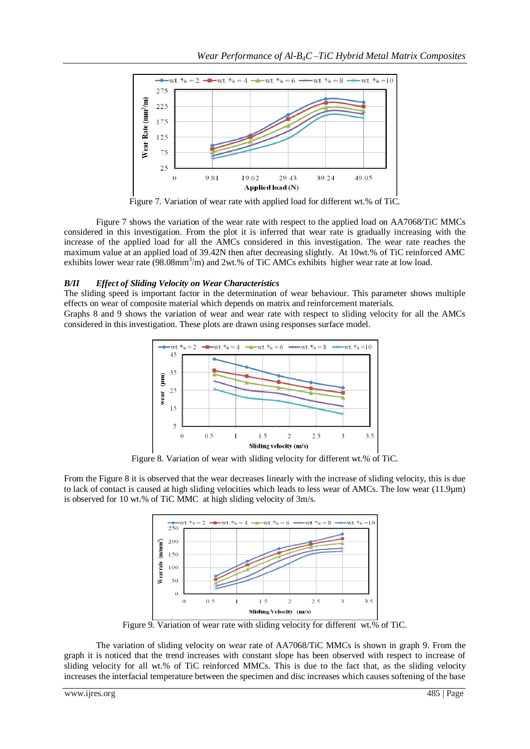

Figure 7. Variation of wear rate with applied load for different wt.% of TiC.

Figure 7 shows the variation of the wear rate with respect to the applied load on AA7068/TiC MMCs considered in this investigation. From the plot it is inferred that wear rate is gradually increasing with the increase of the applied load for all the AMCs considered in this investigation. The wear rate reaches the maximum value at an applied load of 39.42N then after decreasing slightly. At 10wt.% of TiC reinforced AMC exhibits lower wear rate (98.08mm<sup>3</sup>/m) and 2wt.% of TiC AMCs exhibits higher wear rate at low load.

# *B/II Effect of Sliding Velocity on Wear Characteristics*

The sliding speed is important factor in the determination of wear behaviour. This parameter shows multiple effects on wear of composite material which depends on matrix and reinforcement materials.

Graphs 8 and 9 shows the variation of wear and wear rate with respect to sliding velocity for all the AMCs considered in this investigation. These plots are drawn using responses surface model.



Figure 8. Variation of wear with sliding velocity for different wt.% of TiC.

From the Figure 8 it is observed that the wear decreases linearly with the increase of sliding velocity, this is due to lack of contact is caused at high sliding velocities which leads to less wear of AMCs. The low wear (11.9µm) is observed for 10 wt.% of TiC MMC at high sliding velocity of 3m/s.



Figure 9. Variation of wear rate with sliding velocity for different wt.% of TiC.

The variation of sliding velocity on wear rate of AA7068/TiC MMCs is shown in graph 9. From the graph it is noticed that the trend increases with constant slope has been observed with respect to increase of sliding velocity for all wt.% of TiC reinforced MMCs. This is due to the fact that, as the sliding velocity increases the interfacial temperature between the specimen and disc increases which causes softening of the base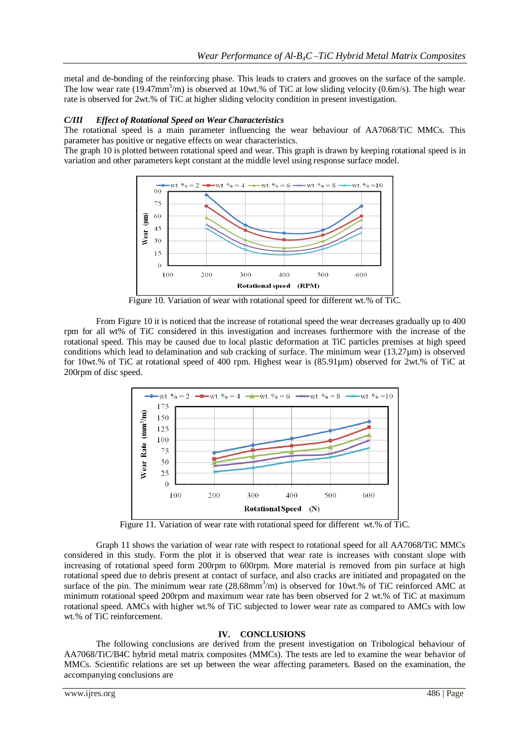metal and de-bonding of the reinforcing phase. This leads to craters and grooves on the surface of the sample. The low wear rate  $(19.47 \text{mm}^3/\text{m})$  is observed at 10wt.% of TiC at low sliding velocity (0.6m/s). The high wear rate is observed for 2wt.% of TiC at higher sliding velocity condition in present investigation.

## *C/III Effect of Rotational Speed on Wear Characteristics*

The rotational speed is a main parameter influencing the wear behaviour of AA7068/TiC MMCs. This parameter has positive or negative effects on wear characteristics.

The graph 10 is plotted between rotational speed and wear. This graph is drawn by keeping rotational speed is in variation and other parameters kept constant at the middle level using response surface model.



Figure 10. Variation of wear with rotational speed for different wt.% of TiC.

From Figure 10 it is noticed that the increase of rotational speed the wear decreases gradually up to 400 rpm for all wt% of TiC considered in this investigation and increases furthermore with the increase of the rotational speed. This may be caused due to local plastic deformation at TiC particles premises at high speed conditions which lead to delamination and sub cracking of surface. The minimum wear (13.27µm) is observed for 10wt.% of TiC at rotational speed of 400 rpm. Highest wear is (85.91µm) observed for 2wt.% of TiC at 200rpm of disc speed.



Figure 11. Variation of wear rate with rotational speed for different wt.% of TiC.

Graph 11 shows the variation of wear rate with respect to rotational speed for all AA7068/TiC MMCs considered in this study. Form the plot it is observed that wear rate is increases with constant slope with increasing of rotational speed form 200rpm to 600rpm. More material is removed from pin surface at high rotational speed due to debris present at contact of surface, and also cracks are initiated and propagated on the surface of the pin. The minimum wear rate (28.68mm<sup>3</sup>/m) is observed for 10wt.% of TiC reinforced AMC at minimum rotational speed 200rpm and maximum wear rate has been observed for 2 wt.% of TiC at maximum rotational speed. AMCs with higher wt.% of TiC subjected to lower wear rate as compared to AMCs with low wt.% of TiC reinforcement.

## **IV. CONCLUSIONS**

The following conclusions are derived from the present investigation on Tribological behaviour of AA7068/TiC/B4C hybrid metal matrix composites (MMCs). The tests are led to examine the wear behavior of MMCs. Scientific relations are set up between the wear affecting parameters. Based on the examination, the accompanying conclusions are